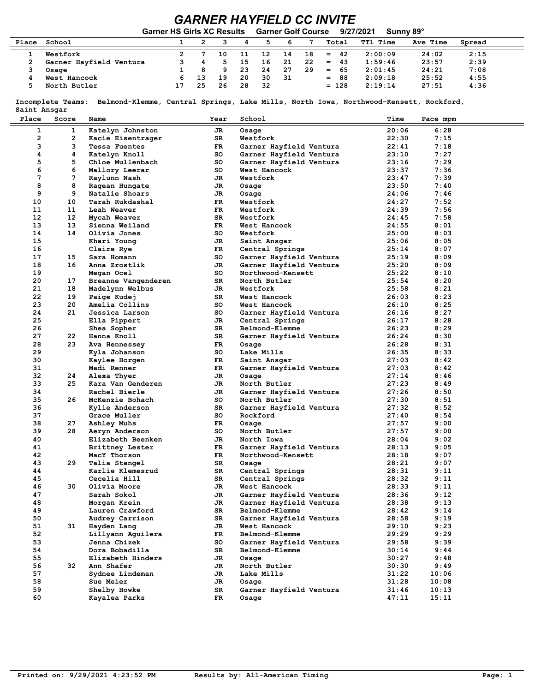## *GARNER HAYFIELD CC INVITE*

| 9/27/2021<br><b>Garner HS Girls XC Results</b><br><b>Garner Golf Course</b><br>Sunny 89° |                         |  |    |     |    |    |    |    |            |                 |          |        |  |
|------------------------------------------------------------------------------------------|-------------------------|--|----|-----|----|----|----|----|------------|-----------------|----------|--------|--|
| Place                                                                                    | School                  |  |    |     | 4  |    | 6  |    | Total      | <b>TT1 Time</b> | Ave Time | Spread |  |
|                                                                                          | Westfork                |  |    | 1 ດ | 11 | 12 | 14 | 18 | -42<br>$=$ | 2:00:09         | 24:02    | 2:15   |  |
|                                                                                          | Garner Hayfield Ventura |  |    |     | 15 | 16 | 21 | 22 | $=$<br>-43 | 1:59:46         | 23:57    | 2:39   |  |
|                                                                                          | Osage                   |  | 8  | 9.  | 23 | 24 | 27 | 29 | -65<br>$=$ | 2:01:45         | 24:21    | 7:08   |  |
|                                                                                          | West Hancock            |  | 13 | 19  | 20 | 30 | 31 |    | 88<br>$=$  | 2:09:18         | 25:52    | 4:55   |  |
|                                                                                          | North Butler            |  | 25 | 26  | 28 | 32 |    |    | $= 128$    | 2:19:14         | 27:51    | 4:36   |  |

 **Incomplete Teams: Belmond-Klemme, Central Springs, Lake Mills, North Iowa, Northwood-Kensett, Rockford, Saint Ansgar**

| Place | Score | Name                              | Year | School                  | Time  | Pace mpm |
|-------|-------|-----------------------------------|------|-------------------------|-------|----------|
| 1     | 1     | Katelyn Johnston                  | JR   | Osage                   | 20:06 | 6:28     |
| 2     | 2     | Kacie Eisentrager                 | SR   | Westfork                | 22:30 | 7:15     |
| з     | 3     |                                   | FR   | Garner Hayfield Ventura | 22:41 | 7:18     |
| 4     | 4     | Tessa Fuentes                     |      |                         |       |          |
|       |       | Katelyn Knoll                     | so   | Garner Hayfield Ventura | 23:10 | 7:27     |
| 5     | 5     | Chloe Mullenbach                  | so   | Garner Hayfield Ventura | 23:16 | 7:29     |
| 6     | 6     | Mallory Leerar                    | so   | West Hancock            | 23:37 | 7:36     |
| 7     | 7     | Raylunn Nash                      | JR   | Westfork                | 23:47 | 7:39     |
| 8     | 8     | Ragean Hungate                    | JR   | Osage                   | 23:50 | 7:40     |
| 9     | 9     | Natalie Shoars                    | JR   | Osage                   | 24:06 | 7:46     |
| 10    | 10    | Tarah Rukdashal                   | FR   | Westfork                | 24:27 | 7:52     |
| 11    | 11    | Leah Weaver                       | FR   | Westfork                | 24:39 | 7:56     |
| 12    | 12    | Mycah Weaver                      | SR   | Westfork                | 24:45 | 7:58     |
| 13    | 13    | Sienna Weiland                    | FR.  | West Hancock            | 24:55 | 8:01     |
| 14    | 14    | Olivia Jones                      | so   | Westfork                | 25:00 | 8:03     |
| 15    |       | Khari Young                       | JR   | Saint Ansgar            | 25:06 | 8:05     |
| 16    |       | Claire Rye                        | FR.  | Central Springs         | 25:14 | 8:07     |
| 17    | 15    | Sara Homann                       | so   | Garner Hayfield Ventura | 25:19 | 8:09     |
| 18    | 16    | Anna Zrostlik                     | JR   | Garner Hayfield Ventura | 25:20 | 8:09     |
| 19    |       | Megan Ocel                        | so   | Northwood-Kensett       | 25:22 | 8:10     |
| 20    | 17    | Breanne Vangenderen               | SR   | North Butler            | 25:54 | 8:20     |
| 21    | 18    | Madelynn Welbus                   | JR   | Westfork                | 25:58 | 8:21     |
| 22    | 19    | Paige Kudej                       | SR   | West Hancock            | 26:03 | 8:23     |
| 23    | 20    | Amelia Collins                    | so   | West Hancock            | 26:10 | 8:25     |
| 24    | 21    | Jessica Larson                    | so   | Garner Hayfield Ventura | 26:16 | 8:27     |
| 25    |       | Ella Pippert                      | JR   | Central Springs         | 26:17 | 8:28     |
| 26    |       | Shea Sopher                       | SR   | Belmond-Klemme          | 26:23 | 8:29     |
| 27    | 22    | Hanna Knoll                       | SR   | Garner Hayfield Ventura | 26:24 | 8:30     |
| 28    | 23    | Ava Hennessey                     | FR   | Osage                   | 26:28 | 8:31     |
| 29    |       | Kyla Johanson                     | so   | Lake Mills              | 26:35 | 8:33     |
| 30    |       | Kaylee Horgen                     | FR.  | Saint Ansgar            | 27:03 | 8:42     |
| 31    |       | Madi Renner                       | FR   | Garner Hayfield Ventura | 27:03 | 8:42     |
| 32    | 24    | Alexa Thyer                       | JR.  | Osage                   | 27:14 | 8:46     |
| 33    | 25    | Kara Van Genderen                 | JR   | North Butler            | 27:23 | 8:49     |
| 34    |       | Rachel Bierle                     | JR   | Garner Hayfield Ventura | 27:26 | 8:50     |
| 35    | 26    | McKenzie Bohach                   | so   | North Butler            | 27:30 | 8:51     |
| 36    |       | Kylie Anderson                    | SR.  | Garner Hayfield Ventura | 27:32 | 8:52     |
| 37    |       | Grace Muller                      | so   | Rockford                | 27:40 | 8:54     |
| 38    | 27    | Ashley Muhs                       | FR.  | Osage                   | 27:57 | 9:00     |
| 39    | 28    | Aeryn Anderson                    | so   | North Butler            | 27:57 | 9:00     |
| 40    |       | Elizabeth Beenken                 | JR   | North Iowa              | 28:04 | 9:02     |
| 41    |       |                                   |      |                         |       |          |
| 42    |       | Brittney Lester                   | FR.  | Garner Hayfield Ventura | 28:13 | 9:05     |
| 43    | 29    | MacY Thorson                      | FR.  | Northwood-Kensett       | 28:18 | 9:07     |
| 44    |       | Talia Stangel<br>Karlie Klemesrud | SR   | Osage                   | 28:21 | 9:07     |
| 45    |       |                                   | SR   | Central Springs         | 28:31 | 9:11     |
|       |       | Cecelia Hill                      | SR   | Central Springs         | 28:32 | 9:11     |
| 46    | 30    | Olivia Moore                      | JR   | West Hancock            | 28:33 | 9:11     |
| 47    |       | Sarah Sokol                       | JR   | Garner Hayfield Ventura | 28:36 | 9:12     |
| 48    |       | Morgan Krein                      | JR   | Garner Hayfield Ventura | 28:38 | 9:13     |
| 49    |       | Lauren Crawford                   | SR   | Belmond-Klemme          | 28:42 | 9:14     |
| 50    |       | Audrey Carrison                   | SR   | Garner Hayfield Ventura | 28:58 | 9:19     |
| 51    | 31    | Hayden Lang                       | JR   | West Hancock            | 29:10 | 9:23     |
| 52    |       | Lillyann Aguilera                 | FR   | Belmond-Klemme          | 29:29 | 9:29     |
| 53    |       | Jenna Chizek                      | so   | Garner Hayfield Ventura | 29:58 | 9:39     |
| 54    |       | Dora Bobadilla                    | SR   | Belmond-Klemme          | 30:14 | 9:44     |
| 55    |       | Elizabeth Hinders                 | JR   | Osage                   | 30:27 | 9:48     |
| 56    | 32    | Ann Shafer                        | JR   | North Butler            | 30:30 | 9:49     |
| 57    |       | Sydnee Lindeman                   | JR   | Lake Mills              | 31:22 | 10:06    |
| 58    |       | Sue Meier                         | JR   | Osage                   | 31:28 | 10:08    |
| 59    |       | Shelby Howke                      | SR   | Garner Hayfield Ventura | 31:46 | 10:13    |
| 60    |       | Kayalea Parks                     | FR   | Osage                   | 47:11 | 15:11    |